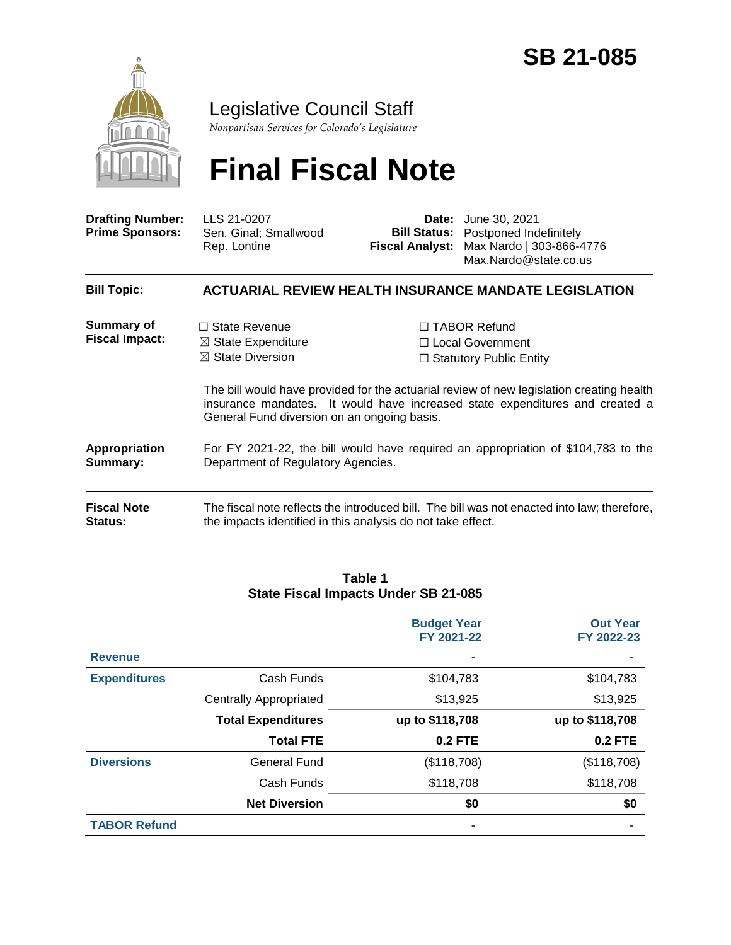

### Legislative Council Staff

*Nonpartisan Services for Colorado's Legislature*

# **Final Fiscal Note**

| <b>Drafting Number:</b><br><b>Prime Sponsors:</b> | LLS 21-0207<br>Sen. Ginal; Smallwood<br>Rep. Lontine                                                                                                       | Date:<br><b>Bill Status:</b><br><b>Fiscal Analyst:</b> | June 30, 2021<br>Postponed Indefinitely<br>Max Nardo   303-866-4776<br>Max.Nardo@state.co.us                                                                                                                                                            |  |  |  |
|---------------------------------------------------|------------------------------------------------------------------------------------------------------------------------------------------------------------|--------------------------------------------------------|---------------------------------------------------------------------------------------------------------------------------------------------------------------------------------------------------------------------------------------------------------|--|--|--|
| <b>Bill Topic:</b>                                | <b>ACTUARIAL REVIEW HEALTH INSURANCE MANDATE LEGISLATION</b>                                                                                               |                                                        |                                                                                                                                                                                                                                                         |  |  |  |
| <b>Summary of</b><br><b>Fiscal Impact:</b>        | $\Box$ State Revenue<br>$\boxtimes$ State Expenditure<br>$\boxtimes$ State Diversion<br>General Fund diversion on an ongoing basis.                        |                                                        | $\Box$ TABOR Refund<br>□ Local Government<br>$\Box$ Statutory Public Entity<br>The bill would have provided for the actuarial review of new legislation creating health<br>insurance mandates. It would have increased state expenditures and created a |  |  |  |
| Appropriation<br>Summary:                         | For FY 2021-22, the bill would have required an appropriation of \$104,783 to the<br>Department of Regulatory Agencies.                                    |                                                        |                                                                                                                                                                                                                                                         |  |  |  |
| <b>Fiscal Note</b><br><b>Status:</b>              | The fiscal note reflects the introduced bill. The bill was not enacted into law; therefore,<br>the impacts identified in this analysis do not take effect. |                                                        |                                                                                                                                                                                                                                                         |  |  |  |

#### **Table 1 State Fiscal Impacts Under SB 21-085**

|                     |                               | <b>Budget Year</b><br>FY 2021-22 | <b>Out Year</b><br>FY 2022-23 |
|---------------------|-------------------------------|----------------------------------|-------------------------------|
| <b>Revenue</b>      |                               |                                  |                               |
| <b>Expenditures</b> | Cash Funds                    | \$104,783                        | \$104,783                     |
|                     | <b>Centrally Appropriated</b> | \$13,925                         | \$13,925                      |
|                     | <b>Total Expenditures</b>     | up to \$118,708                  | up to \$118,708               |
|                     | <b>Total FTE</b>              | <b>0.2 FTE</b>                   | <b>0.2 FTE</b>                |
| <b>Diversions</b>   | <b>General Fund</b>           | (\$118,708)                      | (\$118,708)                   |
|                     | Cash Funds                    | \$118,708                        | \$118,708                     |
|                     | <b>Net Diversion</b>          | \$0                              | \$0                           |
| <b>TABOR Refund</b> |                               |                                  |                               |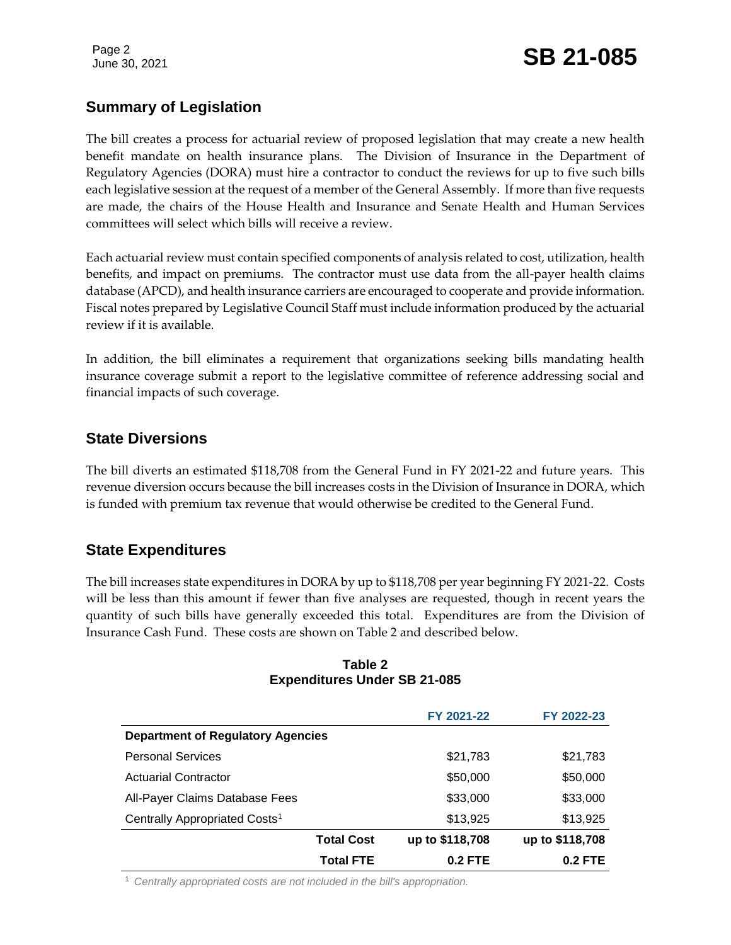#### **Summary of Legislation**

The bill creates a process for actuarial review of proposed legislation that may create a new health benefit mandate on health insurance plans. The Division of Insurance in the Department of Regulatory Agencies (DORA) must hire a contractor to conduct the reviews for up to five such bills each legislative session at the request of a member of the General Assembly. If more than five requests are made, the chairs of the House Health and Insurance and Senate Health and Human Services committees will select which bills will receive a review.

Each actuarial review must contain specified components of analysis related to cost, utilization, health benefits, and impact on premiums. The contractor must use data from the all-payer health claims database (APCD), and health insurance carriers are encouraged to cooperate and provide information. Fiscal notes prepared by Legislative Council Staff must include information produced by the actuarial review if it is available.

In addition, the bill eliminates a requirement that organizations seeking bills mandating health insurance coverage submit a report to the legislative committee of reference addressing social and financial impacts of such coverage.

#### **State Diversions**

The bill diverts an estimated \$118,708 from the General Fund in FY 2021-22 and future years. This revenue diversion occurs because the bill increases costs in the Division of Insurance in DORA, which is funded with premium tax revenue that would otherwise be credited to the General Fund.

#### **State Expenditures**

The bill increases state expenditures in DORA by up to \$118,708 per year beginning FY 2021-22. Costs will be less than this amount if fewer than five analyses are requested, though in recent years the quantity of such bills have generally exceeded this total. Expenditures are from the Division of Insurance Cash Fund. These costs are shown on Table 2 and described below.

| Table 2                             |  |  |  |  |  |
|-------------------------------------|--|--|--|--|--|
| <b>Expenditures Under SB 21-085</b> |  |  |  |  |  |

|                                           |                   | FY 2021-22      | FY 2022-23      |
|-------------------------------------------|-------------------|-----------------|-----------------|
| <b>Department of Regulatory Agencies</b>  |                   |                 |                 |
| <b>Personal Services</b>                  |                   | \$21,783        | \$21,783        |
| <b>Actuarial Contractor</b>               |                   | \$50,000        | \$50,000        |
| All-Payer Claims Database Fees            |                   | \$33,000        | \$33,000        |
| Centrally Appropriated Costs <sup>1</sup> |                   | \$13,925        | \$13,925        |
|                                           | <b>Total Cost</b> | up to \$118,708 | up to \$118,708 |
|                                           | <b>Total FTE</b>  | $0.2$ FTE       | $0.2$ FTE       |

<sup>1</sup> *Centrally appropriated costs are not included in the bill's appropriation.*